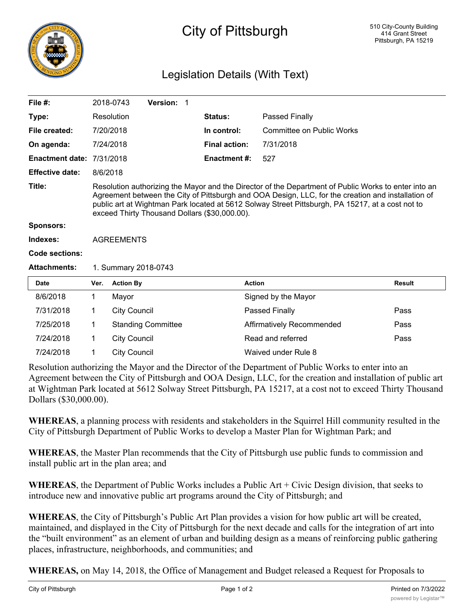

# City of Pittsburgh

## Legislation Details (With Text)

| File $#$ :                       |                                                                                                                                                                                                                                                                                                                                                                 | 2018-0743                 | Version: 1 |                      |                           |                           |  |  |  |  |
|----------------------------------|-----------------------------------------------------------------------------------------------------------------------------------------------------------------------------------------------------------------------------------------------------------------------------------------------------------------------------------------------------------------|---------------------------|------------|----------------------|---------------------------|---------------------------|--|--|--|--|
| Type:                            |                                                                                                                                                                                                                                                                                                                                                                 | Resolution                |            | <b>Status:</b>       | Passed Finally            |                           |  |  |  |  |
| File created:                    |                                                                                                                                                                                                                                                                                                                                                                 | 7/20/2018                 |            | In control:          |                           | Committee on Public Works |  |  |  |  |
| On agenda:                       |                                                                                                                                                                                                                                                                                                                                                                 | 7/24/2018                 |            | <b>Final action:</b> | 7/31/2018                 |                           |  |  |  |  |
| <b>Enactment date: 7/31/2018</b> |                                                                                                                                                                                                                                                                                                                                                                 |                           |            | <b>Enactment #:</b>  | 527                       |                           |  |  |  |  |
| <b>Effective date:</b>           | 8/6/2018                                                                                                                                                                                                                                                                                                                                                        |                           |            |                      |                           |                           |  |  |  |  |
| Title:                           | Resolution authorizing the Mayor and the Director of the Department of Public Works to enter into an<br>Agreement between the City of Pittsburgh and OOA Design, LLC, for the creation and installation of<br>public art at Wightman Park located at 5612 Solway Street Pittsburgh, PA 15217, at a cost not to<br>exceed Thirty Thousand Dollars (\$30,000.00). |                           |            |                      |                           |                           |  |  |  |  |
| <b>Sponsors:</b>                 |                                                                                                                                                                                                                                                                                                                                                                 |                           |            |                      |                           |                           |  |  |  |  |
| Indexes:                         | <b>AGREEMENTS</b>                                                                                                                                                                                                                                                                                                                                               |                           |            |                      |                           |                           |  |  |  |  |
| Code sections:                   |                                                                                                                                                                                                                                                                                                                                                                 |                           |            |                      |                           |                           |  |  |  |  |
| <b>Attachments:</b>              | 1. Summary 2018-0743                                                                                                                                                                                                                                                                                                                                            |                           |            |                      |                           |                           |  |  |  |  |
| <b>Date</b>                      | Ver.                                                                                                                                                                                                                                                                                                                                                            | <b>Action By</b>          |            |                      | <b>Action</b>             | <b>Result</b>             |  |  |  |  |
| 8/6/2018                         | $\mathbf{1}$                                                                                                                                                                                                                                                                                                                                                    | Mayor                     |            |                      | Signed by the Mayor       |                           |  |  |  |  |
| 7/31/2018                        | $\mathbf 1$                                                                                                                                                                                                                                                                                                                                                     | <b>City Council</b>       |            |                      | <b>Passed Finally</b>     | Pass                      |  |  |  |  |
| 7/25/2018                        | $\mathbf 1$                                                                                                                                                                                                                                                                                                                                                     | <b>Standing Committee</b> |            |                      | Affirmatively Recommended | Pass                      |  |  |  |  |
| 7/24/2018                        | 1                                                                                                                                                                                                                                                                                                                                                               | <b>City Council</b>       |            |                      | Read and referred         | Pass                      |  |  |  |  |
| 7/24/2018                        | 1                                                                                                                                                                                                                                                                                                                                                               | <b>City Council</b>       |            |                      | Waived under Rule 8       |                           |  |  |  |  |

Resolution authorizing the Mayor and the Director of the Department of Public Works to enter into an Agreement between the City of Pittsburgh and OOA Design, LLC, for the creation and installation of public art at Wightman Park located at 5612 Solway Street Pittsburgh, PA 15217, at a cost not to exceed Thirty Thousand Dollars (\$30,000.00).

**WHEREAS**, a planning process with residents and stakeholders in the Squirrel Hill community resulted in the City of Pittsburgh Department of Public Works to develop a Master Plan for Wightman Park; and

**WHEREAS**, the Master Plan recommends that the City of Pittsburgh use public funds to commission and install public art in the plan area; and

**WHEREAS**, the Department of Public Works includes a Public Art + Civic Design division, that seeks to introduce new and innovative public art programs around the City of Pittsburgh; and

**WHEREAS**, the City of Pittsburgh's Public Art Plan provides a vision for how public art will be created, maintained, and displayed in the City of Pittsburgh for the next decade and calls for the integration of art into the "built environment" as an element of urban and building design as a means of reinforcing public gathering places, infrastructure, neighborhoods, and communities; and

**WHEREAS,** on May 14, 2018, the Office of Management and Budget released a Request for Proposals to